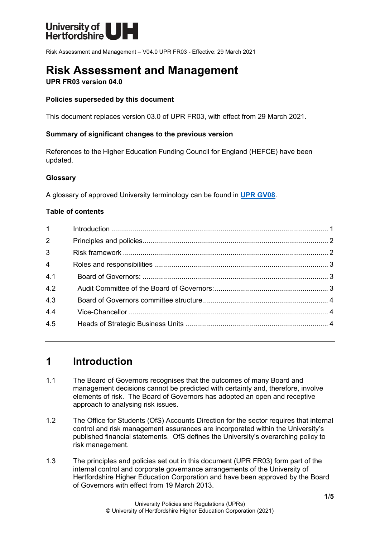

Risk Assessment and Management – V04.0 UPR FR03 - Effective: 29 March 2021

# **Risk Assessment and Management**

### **UPR FR03 version 04.0**

### **Policies superseded by this document**

This document replaces version 03.0 of UPR FR03, with effect from 29 March 2021.

### **Summary of significant changes to the previous version**

References to the Higher Education Funding Council for England (HEFCE) have been updated.

### **Glossary**

A glossary of approved University terminology can be found in **[UPR GV08](https://www.herts.ac.uk/__data/assets/pdf_file/0020/233057/GV08-Glossary-of-Terminology.pdf)**.

### **Table of contents**

| $1 \quad \blacksquare$ |  |
|------------------------|--|
| 2 <sup>1</sup>         |  |
| $\mathbf{3}$           |  |
| $\overline{4}$         |  |
| 4.1                    |  |
| 4.2                    |  |
| 4.3                    |  |
| 4.4                    |  |
| 4.5                    |  |
|                        |  |

# <span id="page-0-0"></span>**1 Introduction**

- 1.1 The Board of Governors recognises that the outcomes of many Board and management decisions cannot be predicted with certainty and, therefore, involve elements of risk. The Board of Governors has adopted an open and receptive approach to analysing risk issues.
- 1.2 The Office for Students (OfS) Accounts Direction for the sector requires that internal control and risk management assurances are incorporated within the University's published financial statements. OfS defines the University's overarching policy to risk management.
- 1.3 The principles and policies set out in this document (UPR FR03) form part of the internal control and corporate governance arrangements of the University of Hertfordshire Higher Education Corporation and have been approved by the Board of Governors with effect from 19 March 2013.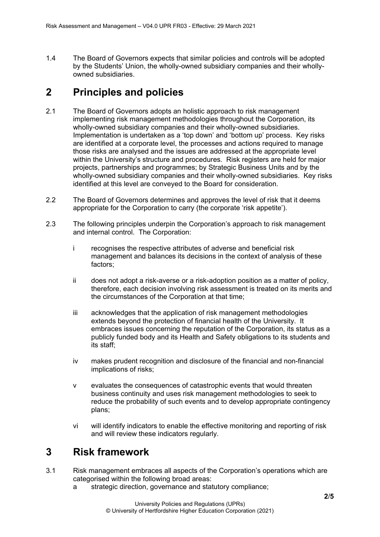1.4 The Board of Governors expects that similar policies and controls will be adopted by the Students' Union, the wholly-owned subsidiary companies and their whollyowned subsidiaries.

# <span id="page-1-0"></span>**2 Principles and policies**

- 2.1 The Board of Governors adopts an holistic approach to risk management implementing risk management methodologies throughout the Corporation, its wholly-owned subsidiary companies and their wholly-owned subsidiaries. Implementation is undertaken as a 'top down' and 'bottom up' process. Key risks are identified at a corporate level, the processes and actions required to manage those risks are analysed and the issues are addressed at the appropriate level within the University's structure and procedures. Risk registers are held for major projects, partnerships and programmes; by Strategic Business Units and by the wholly-owned subsidiary companies and their wholly-owned subsidiaries. Key risks identified at this level are conveyed to the Board for consideration.
- 2.2 The Board of Governors determines and approves the level of risk that it deems appropriate for the Corporation to carry (the corporate 'risk appetite').
- 2.3 The following principles underpin the Corporation's approach to risk management and internal control. The Corporation:
	- i recognises the respective attributes of adverse and beneficial risk management and balances its decisions in the context of analysis of these factors;
	- ii does not adopt a risk-averse or a risk-adoption position as a matter of policy, therefore, each decision involving risk assessment is treated on its merits and the circumstances of the Corporation at that time;
	- iii acknowledges that the application of risk management methodologies extends beyond the protection of financial health of the University. It embraces issues concerning the reputation of the Corporation, its status as a publicly funded body and its Health and Safety obligations to its students and its staff;
	- iv makes prudent recognition and disclosure of the financial and non-financial implications of risks;
	- v evaluates the consequences of catastrophic events that would threaten business continuity and uses risk management methodologies to seek to reduce the probability of such events and to develop appropriate contingency plans;
	- vi will identify indicators to enable the effective monitoring and reporting of risk and will review these indicators regularly.

### <span id="page-1-1"></span>**3 Risk framework**

- 3.1 Risk management embraces all aspects of the Corporation's operations which are categorised within the following broad areas:
	- a strategic direction, governance and statutory compliance;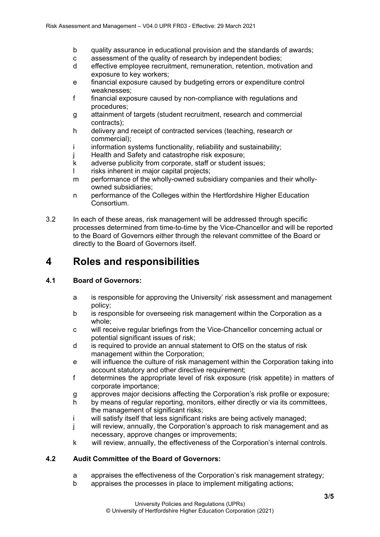- b quality assurance in educational provision and the standards of awards;
- c assessment of the quality of research by independent bodies;
- d effective employee recruitment, remuneration, retention, motivation and exposure to key workers;
- e financial exposure caused by budgeting errors or expenditure control weaknesses;
- f financial exposure caused by non-compliance with regulations and procedures;
- g attainment of targets (student recruitment, research and commercial contracts);
- h delivery and receipt of contracted services (teaching, research or commercial);
- i information systems functionality, reliability and sustainability;
- Health and Safety and catastrophe risk exposure;
- k adverse publicity from corporate, staff or student issues;
- l risks inherent in major capital projects;
- m performance of the wholly-owned subsidiary companies and their whollyowned subsidiaries;
- n performance of the Colleges within the Hertfordshire Higher Education Consortium.
- 3.2 In each of these areas, risk management will be addressed through specific processes determined from time-to-time by the Vice-Chancellor and will be reported to the Board of Governors either through the relevant committee of the Board or directly to the Board of Governors itself.

# <span id="page-2-0"></span>**4 Roles and responsibilities**

### <span id="page-2-1"></span>**4.1 Board of Governors:**

- a is responsible for approving the University' risk assessment and management policy;
- b is responsible for overseeing risk management within the Corporation as a whole;
- c will receive regular briefings from the Vice-Chancellor concerning actual or potential significant issues of risk;
- d is required to provide an annual statement to OfS on the status of risk management within the Corporation;
- e will influence the culture of risk management within the Corporation taking into account statutory and other directive requirement;
- f determines the appropriate level of risk exposure (risk appetite) in matters of corporate importance;
- g approves major decisions affecting the Corporation's risk profile or exposure;
- h by means of regular reporting, monitors, either directly or via its committees, the management of significant risks;
- i will satisfy itself that less significant risks are being actively managed;
- j will review, annually, the Corporation's approach to risk management and as necessary, approve changes or improvements;
- k will review, annually, the effectiveness of the Corporation's internal controls.

### <span id="page-2-2"></span>**4.2 Audit Committee of the Board of Governors:**

- a appraises the effectiveness of the Corporation's risk management strategy;
- b appraises the processes in place to implement mitigating actions;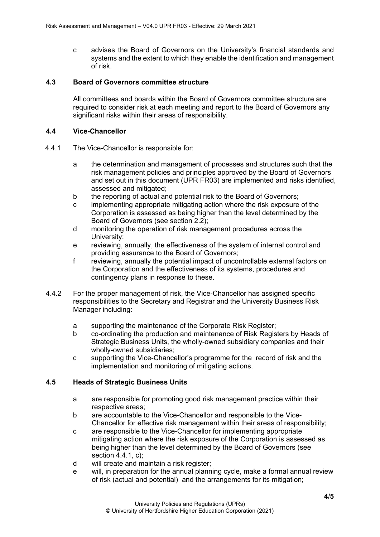c advises the Board of Governors on the University's financial standards and systems and the extent to which they enable the identification and management of risk.

### <span id="page-3-0"></span>**4.3 Board of Governors committee structure**

All committees and boards within the Board of Governors committee structure are required to consider risk at each meeting and report to the Board of Governors any significant risks within their areas of responsibility.

### <span id="page-3-1"></span>**4.4 Vice-Chancellor**

- 4.4.1 The Vice-Chancellor is responsible for:
	- a the determination and management of processes and structures such that the risk management policies and principles approved by the Board of Governors and set out in this document (UPR FR03) are implemented and risks identified, assessed and mitigated;
	- b the reporting of actual and potential risk to the Board of Governors;
	- c implementing appropriate mitigating action where the risk exposure of the Corporation is assessed as being higher than the level determined by the Board of Governors (see section 2.2);
	- d monitoring the operation of risk management procedures across the University;
	- e reviewing, annually, the effectiveness of the system of internal control and providing assurance to the Board of Governors;
	- f reviewing, annually the potential impact of uncontrollable external factors on the Corporation and the effectiveness of its systems, procedures and contingency plans in response to these.
- 4.4.2 For the proper management of risk, the Vice-Chancellor has assigned specific responsibilities to the Secretary and Registrar and the University Business Risk Manager including:
	- a supporting the maintenance of the Corporate Risk Register;
	- b co-ordinating the production and maintenance of Risk Registers by Heads of Strategic Business Units, the wholly-owned subsidiary companies and their wholly-owned subsidiaries;
	- c supporting the Vice-Chancellor's programme for the record of risk and the implementation and monitoring of mitigating actions.

### <span id="page-3-2"></span>**4.5 Heads of Strategic Business Units**

- a are responsible for promoting good risk management practice within their respective areas;
- b are accountable to the Vice-Chancellor and responsible to the Vice-Chancellor for effective risk management within their areas of responsibility;
- c are responsible to the Vice-Chancellor for implementing appropriate mitigating action where the risk exposure of the Corporation is assessed as being higher than the level determined by the Board of Governors (see section 4.4.1, c);
- d will create and maintain a risk register;
- e will, in preparation for the annual planning cycle, make a formal annual review of risk (actual and potential) and the arrangements for its mitigation;